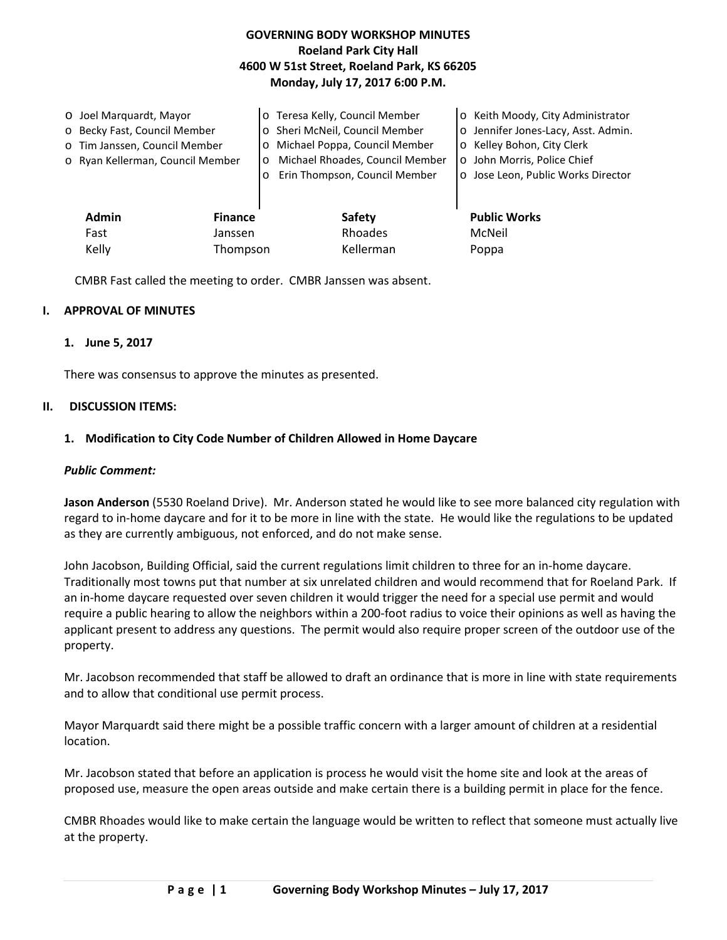# **GOVERNING BODY WORKSHOP MINUTES Roeland Park City Hall 4600 W 51st Street, Roeland Park, KS 66205 Monday, July 17, 2017 6:00 P.M.**

| O Joel Marguardt, Mayor<br>o Becky Fast, Council Member<br>o Tim Janssen, Council Member<br>o Ryan Kellerman, Council Member |                           | o Teresa Kelly, Council Member<br>Sheri McNeil, Council Member<br>Michael Poppa, Council Member<br>Michael Rhoades, Council Member<br>$\circ$<br>Erin Thompson, Council Member | o Keith Moody, City Administrator<br>o Jennifer Jones-Lacy, Asst. Admin.<br>o Kelley Bohon, City Clerk<br>o John Morris, Police Chief<br>o Jose Leon, Public Works Director |
|------------------------------------------------------------------------------------------------------------------------------|---------------------------|--------------------------------------------------------------------------------------------------------------------------------------------------------------------------------|-----------------------------------------------------------------------------------------------------------------------------------------------------------------------------|
| <b>Admin</b><br>Fast                                                                                                         | <b>Finance</b><br>Janssen | <b>Safety</b><br>Rhoades                                                                                                                                                       | <b>Public Works</b><br>McNeil                                                                                                                                               |
| Kelly<br>Thompson                                                                                                            |                           | Kellerman                                                                                                                                                                      | Poppa                                                                                                                                                                       |

CMBR Fast called the meeting to order. CMBR Janssen was absent.

## **I. APPROVAL OF MINUTES**

### **1. June 5, 2017**

There was consensus to approve the minutes as presented.

### **II. DISCUSSION ITEMS:**

### **1. Modification to City Code Number of Children Allowed in Home Daycare**

#### *Public Comment:*

**Jason Anderson** (5530 Roeland Drive). Mr. Anderson stated he would like to see more balanced city regulation with regard to in-home daycare and for it to be more in line with the state. He would like the regulations to be updated as they are currently ambiguous, not enforced, and do not make sense.

John Jacobson, Building Official, said the current regulations limit children to three for an in-home daycare. Traditionally most towns put that number at six unrelated children and would recommend that for Roeland Park. If an in-home daycare requested over seven children it would trigger the need for a special use permit and would require a public hearing to allow the neighbors within a 200-foot radius to voice their opinions as well as having the applicant present to address any questions. The permit would also require proper screen of the outdoor use of the property.

Mr. Jacobson recommended that staff be allowed to draft an ordinance that is more in line with state requirements and to allow that conditional use permit process.

Mayor Marquardt said there might be a possible traffic concern with a larger amount of children at a residential location.

Mr. Jacobson stated that before an application is process he would visit the home site and look at the areas of proposed use, measure the open areas outside and make certain there is a building permit in place for the fence.

CMBR Rhoades would like to make certain the language would be written to reflect that someone must actually live at the property.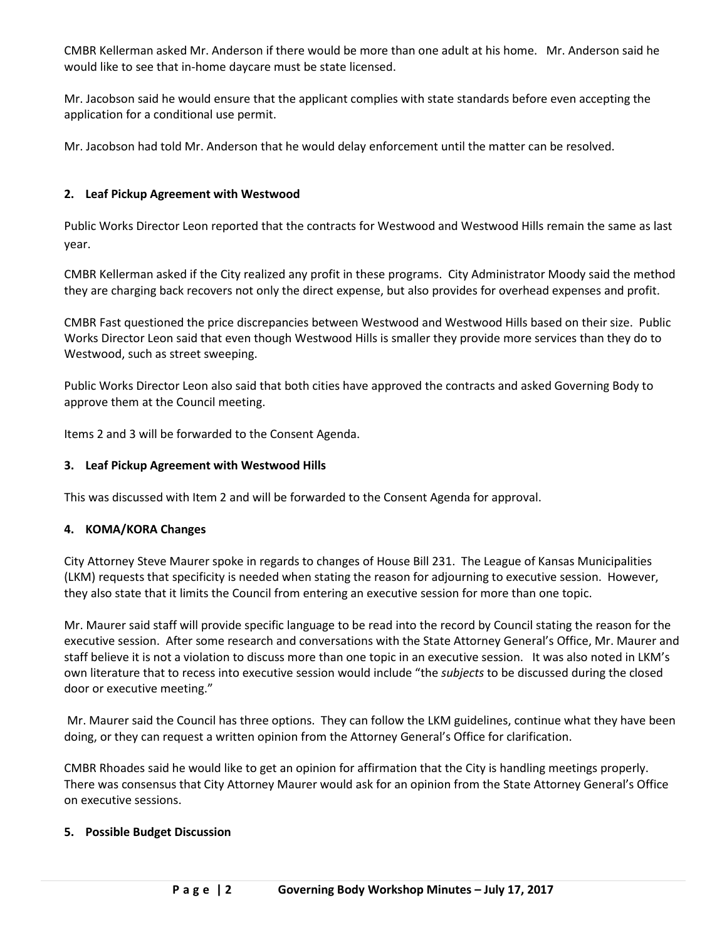CMBR Kellerman asked Mr. Anderson if there would be more than one adult at his home. Mr. Anderson said he would like to see that in-home daycare must be state licensed.

Mr. Jacobson said he would ensure that the applicant complies with state standards before even accepting the application for a conditional use permit.

Mr. Jacobson had told Mr. Anderson that he would delay enforcement until the matter can be resolved.

## **2. Leaf Pickup Agreement with Westwood**

Public Works Director Leon reported that the contracts for Westwood and Westwood Hills remain the same as last year.

CMBR Kellerman asked if the City realized any profit in these programs. City Administrator Moody said the method they are charging back recovers not only the direct expense, but also provides for overhead expenses and profit.

CMBR Fast questioned the price discrepancies between Westwood and Westwood Hills based on their size. Public Works Director Leon said that even though Westwood Hills is smaller they provide more services than they do to Westwood, such as street sweeping.

Public Works Director Leon also said that both cities have approved the contracts and asked Governing Body to approve them at the Council meeting.

Items 2 and 3 will be forwarded to the Consent Agenda.

## **3. Leaf Pickup Agreement with Westwood Hills**

This was discussed with Item 2 and will be forwarded to the Consent Agenda for approval.

## **4. KOMA/KORA Changes**

City Attorney Steve Maurer spoke in regards to changes of House Bill 231. The League of Kansas Municipalities (LKM) requests that specificity is needed when stating the reason for adjourning to executive session. However, they also state that it limits the Council from entering an executive session for more than one topic.

Mr. Maurer said staff will provide specific language to be read into the record by Council stating the reason for the executive session. After some research and conversations with the State Attorney General's Office, Mr. Maurer and staff believe it is not a violation to discuss more than one topic in an executive session. It was also noted in LKM's own literature that to recess into executive session would include "the *subjects* to be discussed during the closed door or executive meeting."

Mr. Maurer said the Council has three options. They can follow the LKM guidelines, continue what they have been doing, or they can request a written opinion from the Attorney General's Office for clarification.

CMBR Rhoades said he would like to get an opinion for affirmation that the City is handling meetings properly. There was consensus that City Attorney Maurer would ask for an opinion from the State Attorney General's Office on executive sessions.

## **5. Possible Budget Discussion**